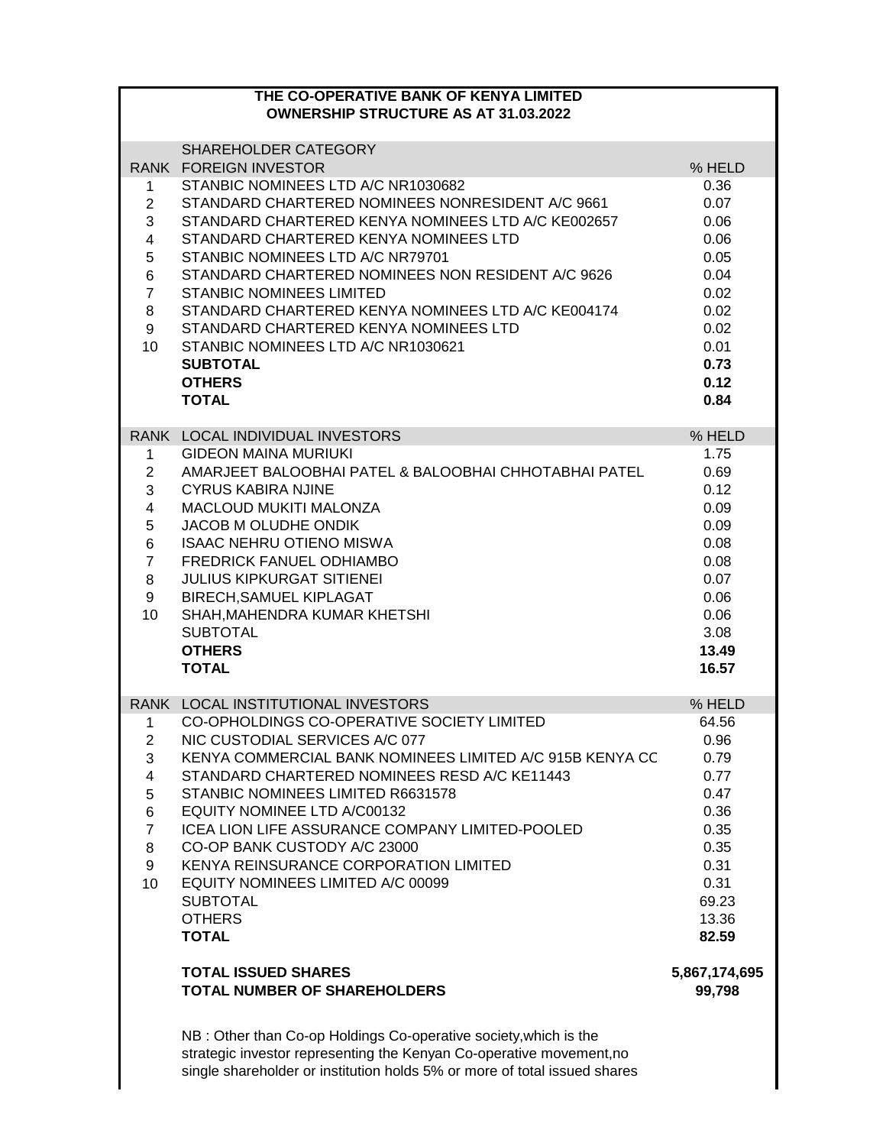## **THE CO-OPERATIVE BANK OF KENYA LIMITED OWNERSHIP STRUCTURE AS AT 31.03.2022**

|                 | SHAREHOLDER CATEGORY                                                                                                                     |                         |
|-----------------|------------------------------------------------------------------------------------------------------------------------------------------|-------------------------|
|                 | <b>RANK FOREIGN INVESTOR</b>                                                                                                             | % HELD                  |
| 1               | STANBIC NOMINEES LTD A/C NR1030682                                                                                                       | 0.36                    |
| $\overline{2}$  | STANDARD CHARTERED NOMINEES NONRESIDENT A/C 9661                                                                                         | 0.07                    |
| 3               | STANDARD CHARTERED KENYA NOMINEES LTD A/C KE002657                                                                                       | 0.06                    |
| $\overline{4}$  | STANDARD CHARTERED KENYA NOMINEES LTD                                                                                                    | 0.06                    |
| $5\overline{)}$ | STANBIC NOMINEES LTD A/C NR79701                                                                                                         | 0.05                    |
| 6               | STANDARD CHARTERED NOMINEES NON RESIDENT A/C 9626                                                                                        | 0.04                    |
| $\overline{7}$  | <b>STANBIC NOMINEES LIMITED</b>                                                                                                          | 0.02                    |
| 8               | STANDARD CHARTERED KENYA NOMINEES LTD A/C KE004174                                                                                       | 0.02                    |
| 9               | STANDARD CHARTERED KENYA NOMINEES LTD                                                                                                    | 0.02                    |
| 10              | STANBIC NOMINEES LTD A/C NR1030621                                                                                                       | 0.01                    |
|                 | <b>SUBTOTAL</b>                                                                                                                          | 0.73                    |
|                 | <b>OTHERS</b>                                                                                                                            | 0.12                    |
|                 | <b>TOTAL</b>                                                                                                                             | 0.84                    |
|                 | RANK LOCAL INDIVIDUAL INVESTORS                                                                                                          | % HELD                  |
| $\mathbf 1$     | <b>GIDEON MAINA MURIUKI</b>                                                                                                              | 1.75                    |
| $\overline{2}$  | AMARJEET BALOOBHAI PATEL & BALOOBHAI CHHOTABHAI PATEL                                                                                    | 0.69                    |
| 3               | <b>CYRUS KABIRA NJINE</b>                                                                                                                | 0.12                    |
| 4               | MACLOUD MUKITI MALONZA                                                                                                                   | 0.09                    |
| $\overline{5}$  | <b>JACOB M OLUDHE ONDIK</b>                                                                                                              | 0.09                    |
| 6               | <b>ISAAC NEHRU OTIENO MISWA</b>                                                                                                          | 0.08                    |
| $\overline{7}$  | FREDRICK FANUEL ODHIAMBO                                                                                                                 | 0.08                    |
| 8               | <b>JULIUS KIPKURGAT SITIENEI</b>                                                                                                         | 0.07                    |
| 9               | <b>BIRECH, SAMUEL KIPLAGAT</b>                                                                                                           | 0.06                    |
| 10              | SHAH, MAHENDRA KUMAR KHETSHI                                                                                                             | 0.06                    |
|                 | <b>SUBTOTAL</b>                                                                                                                          | 3.08                    |
|                 | <b>OTHERS</b>                                                                                                                            | 13.49                   |
|                 | <b>TOTAL</b>                                                                                                                             | 16.57                   |
|                 |                                                                                                                                          |                         |
|                 | RANK LOCAL INSTITUTIONAL INVESTORS                                                                                                       | % HELD                  |
| $\mathbf{1}$    | CO-OPHOLDINGS CO-OPERATIVE SOCIETY LIMITED                                                                                               | 64.56                   |
| $\overline{2}$  | NIC CUSTODIAL SERVICES A/C 077                                                                                                           | 0.96                    |
| 3               | KENYA COMMERCIAL BANK NOMINEES LIMITED A/C 915B KENYA CC                                                                                 | 0.79                    |
| 4               | STANDARD CHARTERED NOMINEES RESD A/C KE11443                                                                                             | 0.77                    |
| 5               | STANBIC NOMINEES LIMITED R6631578                                                                                                        | 0.47                    |
| 6               | EQUITY NOMINEE LTD A/C00132                                                                                                              | 0.36                    |
| $\overline{7}$  | ICEA LION LIFE ASSURANCE COMPANY LIMITED-POOLED                                                                                          | 0.35                    |
| 8               | CO-OP BANK CUSTODY A/C 23000                                                                                                             | 0.35                    |
| 9               | KENYA REINSURANCE CORPORATION LIMITED                                                                                                    | 0.31                    |
| 10              | EQUITY NOMINEES LIMITED A/C 00099                                                                                                        | 0.31                    |
|                 | <b>SUBTOTAL</b>                                                                                                                          | 69.23                   |
|                 | <b>OTHERS</b>                                                                                                                            | 13.36                   |
|                 | <b>TOTAL</b>                                                                                                                             | 82.59                   |
|                 |                                                                                                                                          |                         |
|                 | <b>TOTAL ISSUED SHARES</b><br><b>TOTAL NUMBER OF SHAREHOLDERS</b>                                                                        | 5,867,174,695<br>99,798 |
|                 |                                                                                                                                          |                         |
|                 |                                                                                                                                          |                         |
|                 | NB: Other than Co-op Holdings Co-operative society, which is the<br>strategic investor representing the Kenyan Co-operative movement, no |                         |
|                 |                                                                                                                                          |                         |

single shareholder or institution holds 5% or more of total issued shares